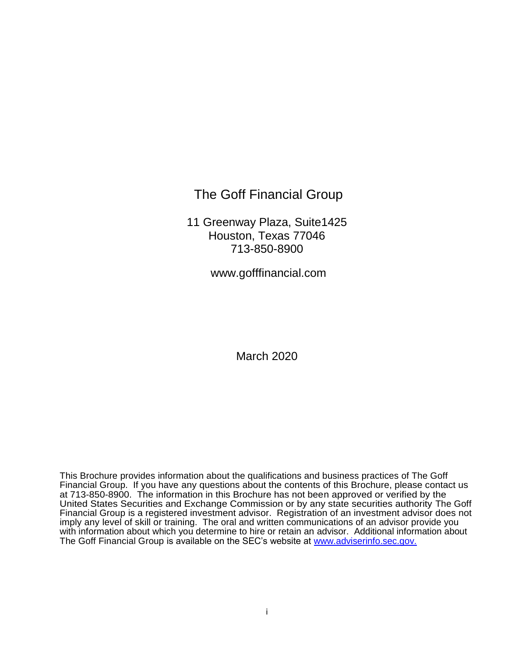The Goff Financial Group

11 Greenway Plaza, Suite1425 Houston, Texas 77046 713-850-8900

www.gofffinancial.com

March 2020

This Brochure provides information about the qualifications and business practices of The Goff Financial Group. If you have any questions about the contents of this Brochure, please contact us at 713-850-8900. The information in this Brochure has not been approved or verified by the United States Securities and Exchange Commission or by any state securities authority The Goff Financial Group is a registered investment advisor. Registration of an investment advisor does not imply any level of skill or training. The oral and written communications of an advisor provide you with information about which you determine to hire or retain an advisor. Additional information about The Goff Financial Group is available on the SEC's website at [www.adviserinfo.sec.gov.](http://www.adviserinfo.sec.gov./)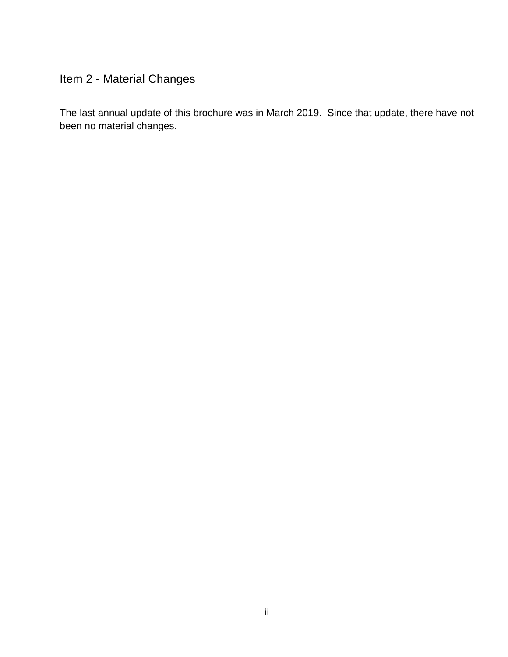# Item 2 - Material Changes

The last annual update of this brochure was in March 2019. Since that update, there have not been no material changes.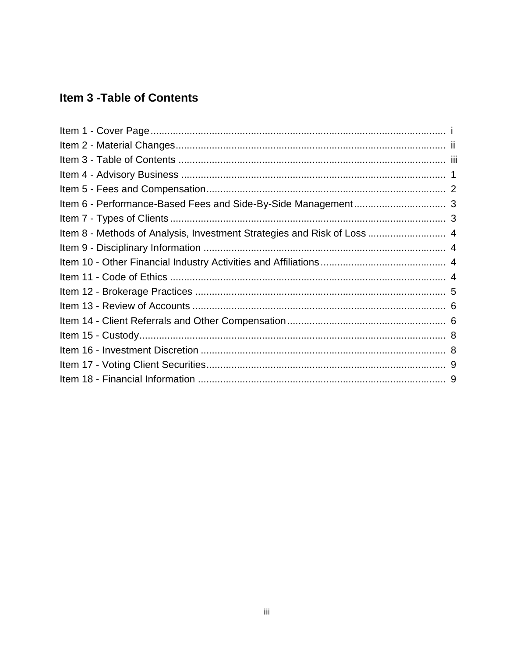## **Item 3 - Table of Contents**

| Item 8 - Methods of Analysis, Investment Strategies and Risk of Loss  4 |  |
|-------------------------------------------------------------------------|--|
|                                                                         |  |
|                                                                         |  |
|                                                                         |  |
|                                                                         |  |
|                                                                         |  |
|                                                                         |  |
|                                                                         |  |
|                                                                         |  |
|                                                                         |  |
|                                                                         |  |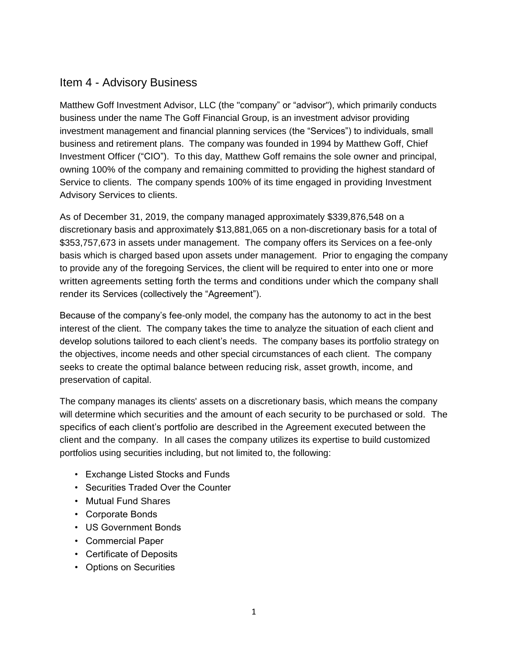#### Item 4 - Advisory Business

Matthew Goff Investment Advisor, LLC (the "company" or "advisor"), which primarily conducts business under the name The Goff Financial Group, is an investment advisor providing investment management and financial planning services (the "Services") to individuals, small business and retirement plans. The company was founded in 1994 by Matthew Goff, Chief Investment Officer ("CIO"). To this day, Matthew Goff remains the sole owner and principal, owning 100% of the company and remaining committed to providing the highest standard of Service to clients. The company spends 100% of its time engaged in providing Investment Advisory Services to clients.

As of December 31, 2019, the company managed approximately \$339,876,548 on a discretionary basis and approximately \$13,881,065 on a non-discretionary basis for a total of \$353,757,673 in assets under management. The company offers its Services on a fee-only basis which is charged based upon assets under management. Prior to engaging the company to provide any of the foregoing Services, the client will be required to enter into one or more written agreements setting forth the terms and conditions under which the company shall render its Services (collectively the "Agreement").

Because of the company's fee-only model, the company has the autonomy to act in the best interest of the client. The company takes the time to analyze the situation of each client and develop solutions tailored to each client's needs. The company bases its portfolio strategy on the objectives, income needs and other special circumstances of each client. The company seeks to create the optimal balance between reducing risk, asset growth, income, and preservation of capital.

The company manages its clients' assets on a discretionary basis, which means the company will determine which securities and the amount of each security to be purchased or sold. The specifics of each client's portfolio are described in the Agreement executed between the client and the company. In all cases the company utilizes its expertise to build customized portfolios using securities including, but not limited to, the following:

- Exchange Listed Stocks and Funds
- Securities Traded Over the Counter
- Mutual Fund Shares
- Corporate Bonds
- US Government Bonds
- Commercial Paper
- Certificate of Deposits
- Options on Securities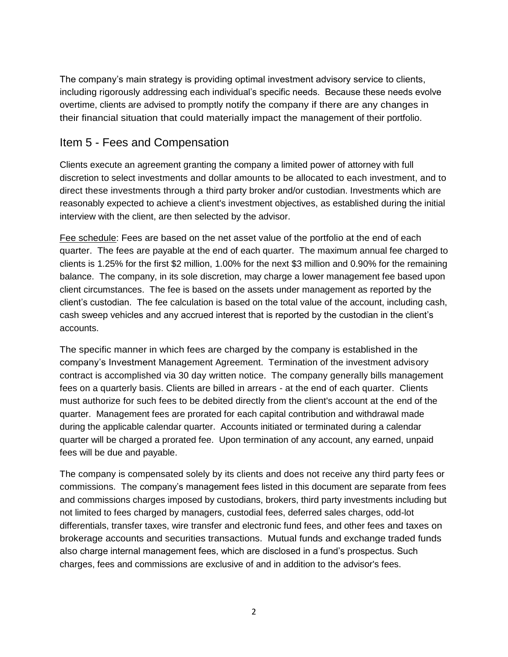The company's main strategy is providing optimal investment advisory service to clients, including rigorously addressing each individual's specific needs. Because these needs evolve overtime, clients are advised to promptly notify the company if there are any changes in their financial situation that could materially impact the management of their portfolio.

#### Item 5 - Fees and Compensation

Clients execute an agreement granting the company a limited power of attorney with full discretion to select investments and dollar amounts to be allocated to each investment, and to direct these investments through a third party broker and/or custodian. Investments which are reasonably expected to achieve a client's investment objectives, as established during the initial interview with the client, are then selected by the advisor.

Fee schedule: Fees are based on the net asset value of the portfolio at the end of each quarter. The fees are payable at the end of each quarter. The maximum annual fee charged to clients is 1.25% for the first \$2 million, 1.00% for the next \$3 million and 0.90% for the remaining balance. The company, in its sole discretion, may charge a lower management fee based upon client circumstances. The fee is based on the assets under management as reported by the client's custodian. The fee calculation is based on the total value of the account, including cash, cash sweep vehicles and any accrued interest that is reported by the custodian in the client's accounts.

The specific manner in which fees are charged by the company is established in the company's Investment Management Agreement. Termination of the investment advisory contract is accomplished via 30 day written notice. The company generally bills management fees on a quarterly basis. Clients are billed in arrears - at the end of each quarter. Clients must authorize for such fees to be debited directly from the client's account at the end of the quarter. Management fees are prorated for each capital contribution and withdrawal made during the applicable calendar quarter. Accounts initiated or terminated during a calendar quarter will be charged a prorated fee. Upon termination of any account, any earned, unpaid fees will be due and payable.

The company is compensated solely by its clients and does not receive any third party fees or commissions. The company's management fees listed in this document are separate from fees and commissions charges imposed by custodians, brokers, third party investments including but not limited to fees charged by managers, custodial fees, deferred sales charges, odd-lot differentials, transfer taxes, wire transfer and electronic fund fees, and other fees and taxes on brokerage accounts and securities transactions. Mutual funds and exchange traded funds also charge internal management fees, which are disclosed in a fund's prospectus. Such charges, fees and commissions are exclusive of and in addition to the advisor's fees.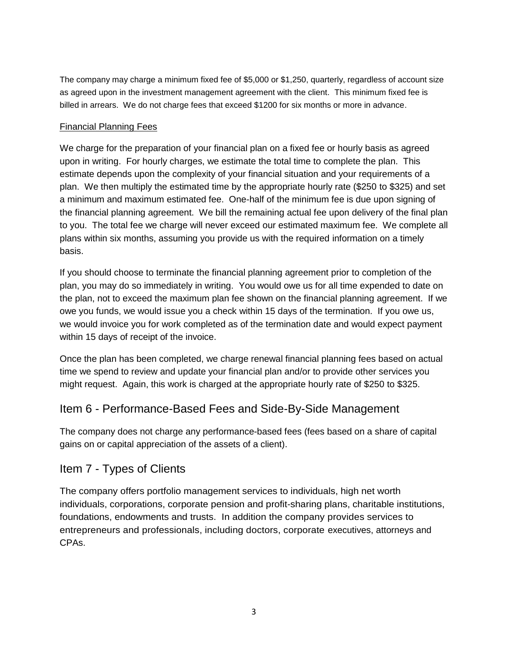The company may charge a minimum fixed fee of \$5,000 or \$1,250, quarterly, regardless of account size as agreed upon in the investment management agreement with the client. This minimum fixed fee is billed in arrears. We do not charge fees that exceed \$1200 for six months or more in advance.

#### Financial Planning Fees

We charge for the preparation of your financial plan on a fixed fee or hourly basis as agreed upon in writing. For hourly charges, we estimate the total time to complete the plan. This estimate depends upon the complexity of your financial situation and your requirements of a plan. We then multiply the estimated time by the appropriate hourly rate (\$250 to \$325) and set a minimum and maximum estimated fee. One-half of the minimum fee is due upon signing of the financial planning agreement. We bill the remaining actual fee upon delivery of the final plan to you. The total fee we charge will never exceed our estimated maximum fee. We complete all plans within six months, assuming you provide us with the required information on a timely basis.

If you should choose to terminate the financial planning agreement prior to completion of the plan, you may do so immediately in writing. You would owe us for all time expended to date on the plan, not to exceed the maximum plan fee shown on the financial planning agreement. If we owe you funds, we would issue you a check within 15 days of the termination. If you owe us, we would invoice you for work completed as of the termination date and would expect payment within 15 days of receipt of the invoice.

Once the plan has been completed, we charge renewal financial planning fees based on actual time we spend to review and update your financial plan and/or to provide other services you might request. Again, this work is charged at the appropriate hourly rate of \$250 to \$325.

#### Item 6 - Performance-Based Fees and Side-By-Side Management

The company does not charge any performance-based fees (fees based on a share of capital gains on or capital appreciation of the assets of a client).

#### Item 7 - Types of Clients

The company offers portfolio management services to individuals, high net worth individuals, corporations, corporate pension and profit-sharing plans, charitable institutions, foundations, endowments and trusts. In addition the company provides services to entrepreneurs and professionals, including doctors, corporate executives, attorneys and CPAs.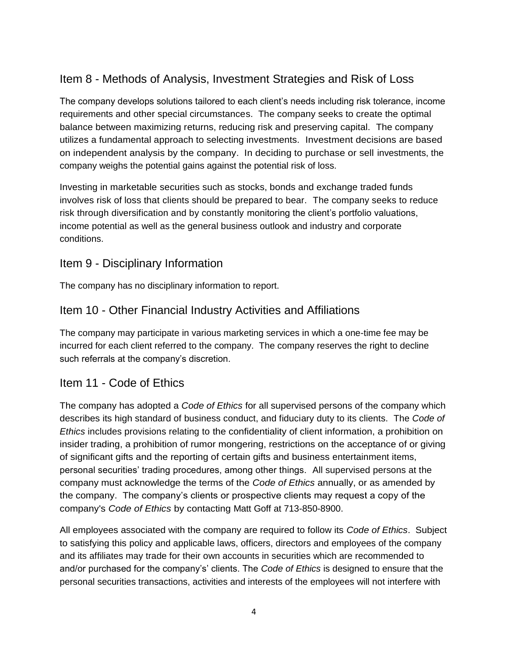## Item 8 - Methods of Analysis, Investment Strategies and Risk of Loss

The company develops solutions tailored to each client's needs including risk tolerance, income requirements and other special circumstances. The company seeks to create the optimal balance between maximizing returns, reducing risk and preserving capital. The company utilizes a fundamental approach to selecting investments. Investment decisions are based on independent analysis by the company. In deciding to purchase or sell investments, the company weighs the potential gains against the potential risk of loss.

Investing in marketable securities such as stocks, bonds and exchange traded funds involves risk of loss that clients should be prepared to bear. The company seeks to reduce risk through diversification and by constantly monitoring the client's portfolio valuations, income potential as well as the general business outlook and industry and corporate conditions.

### Item 9 - Disciplinary Information

The company has no disciplinary information to report.

#### Item 10 - Other Financial Industry Activities and Affiliations

The company may participate in various marketing services in which a one-time fee may be incurred for each client referred to the company. The company reserves the right to decline such referrals at the company's discretion.

#### Item 11 - Code of Ethics

The company has adopted a *Code of Ethics* for all supervised persons of the company which describes its high standard of business conduct, and fiduciary duty to its clients. The *Code of Ethics* includes provisions relating to the confidentiality of client information, a prohibition on insider trading, a prohibition of rumor mongering, restrictions on the acceptance of or giving of significant gifts and the reporting of certain gifts and business entertainment items, personal securities' trading procedures, among other things. All supervised persons at the company must acknowledge the terms of the *Code of Ethics* annually, or as amended by the company. The company's clients or prospective clients may request a copy of the company's *Code of Ethics* by contacting Matt Goff at 713-850-8900.

All employees associated with the company are required to follow its *Code of Ethics*. Subject to satisfying this policy and applicable laws, officers, directors and employees of the company and its affiliates may trade for their own accounts in securities which are recommended to and/or purchased for the company's' clients. The *Code of Ethics* is designed to ensure that the personal securities transactions, activities and interests of the employees will not interfere with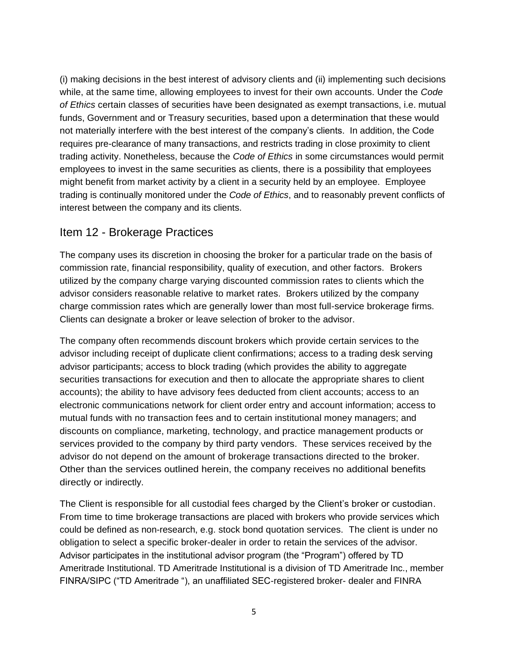(i) making decisions in the best interest of advisory clients and (ii) implementing such decisions while, at the same time, allowing employees to invest for their own accounts. Under the *Code of Ethics* certain classes of securities have been designated as exempt transactions, i.e. mutual funds, Government and or Treasury securities, based upon a determination that these would not materially interfere with the best interest of the company's clients. In addition, the Code requires pre-clearance of many transactions, and restricts trading in close proximity to client trading activity. Nonetheless, because the *Code of Ethics* in some circumstances would permit employees to invest in the same securities as clients, there is a possibility that employees might benefit from market activity by a client in a security held by an employee. Employee trading is continually monitored under the *Code of Ethics*, and to reasonably prevent conflicts of interest between the company and its clients.

#### Item 12 - Brokerage Practices

The company uses its discretion in choosing the broker for a particular trade on the basis of commission rate, financial responsibility, quality of execution, and other factors. Brokers utilized by the company charge varying discounted commission rates to clients which the advisor considers reasonable relative to market rates. Brokers utilized by the company charge commission rates which are generally lower than most full-service brokerage firms. Clients can designate a broker or leave selection of broker to the advisor.

The company often recommends discount brokers which provide certain services to the advisor including receipt of duplicate client confirmations; access to a trading desk serving advisor participants; access to block trading (which provides the ability to aggregate securities transactions for execution and then to allocate the appropriate shares to client accounts); the ability to have advisory fees deducted from client accounts; access to an electronic communications network for client order entry and account information; access to mutual funds with no transaction fees and to certain institutional money managers; and discounts on compliance, marketing, technology, and practice management products or services provided to the company by third party vendors. These services received by the advisor do not depend on the amount of brokerage transactions directed to the broker. Other than the services outlined herein, the company receives no additional benefits directly or indirectly.

The Client is responsible for all custodial fees charged by the Client's broker or custodian. From time to time brokerage transactions are placed with brokers who provide services which could be defined as non-research, e.g. stock bond quotation services. The client is under no obligation to select a specific broker-dealer in order to retain the services of the advisor. Advisor participates in the institutional advisor program (the "Program") offered by TD Ameritrade Institutional. TD Ameritrade Institutional is a division of TD Ameritrade Inc., member FINRA/SIPC ("TD Ameritrade "), an unaffiliated SEC-registered broker- dealer and FINRA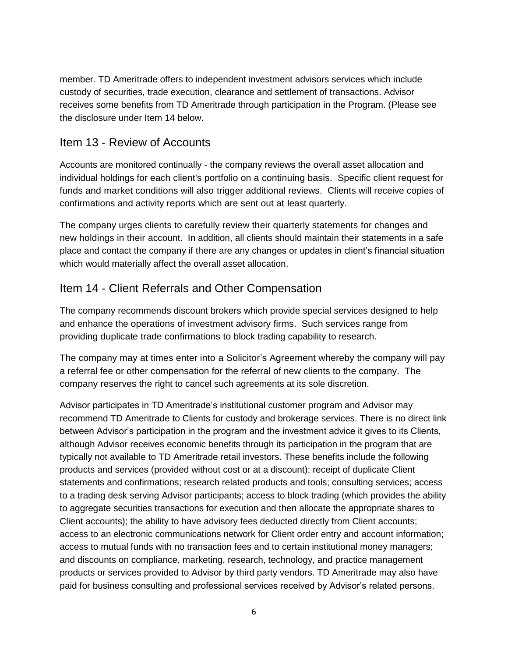member. TD Ameritrade offers to independent investment advisors services which include custody of securities, trade execution, clearance and settlement of transactions. Advisor receives some benefits from TD Ameritrade through participation in the Program. (Please see the disclosure under Item 14 below.

#### Item 13 - Review of Accounts

Accounts are monitored continually - the company reviews the overall asset allocation and individual holdings for each client's portfolio on a continuing basis. Specific client request for funds and market conditions will also trigger additional reviews. Clients will receive copies of confirmations and activity reports which are sent out at least quarterly.

The company urges clients to carefully review their quarterly statements for changes and new holdings in their account. In addition, all clients should maintain their statements in a safe place and contact the company if there are any changes or updates in client's financial situation which would materially affect the overall asset allocation.

#### Item 14 - Client Referrals and Other Compensation

The company recommends discount brokers which provide special services designed to help and enhance the operations of investment advisory firms. Such services range from providing duplicate trade confirmations to block trading capability to research.

The company may at times enter into a Solicitor's Agreement whereby the company will pay a referral fee or other compensation for the referral of new clients to the company. The company reserves the right to cancel such agreements at its sole discretion.

Advisor participates in TD Ameritrade's institutional customer program and Advisor may recommend TD Ameritrade to Clients for custody and brokerage services. There is no direct link between Advisor's participation in the program and the investment advice it gives to its Clients, although Advisor receives economic benefits through its participation in the program that are typically not available to TD Ameritrade retail investors. These benefits include the following products and services (provided without cost or at a discount): receipt of duplicate Client statements and confirmations; research related products and tools; consulting services; access to a trading desk serving Advisor participants; access to block trading (which provides the ability to aggregate securities transactions for execution and then allocate the appropriate shares to Client accounts); the ability to have advisory fees deducted directly from Client accounts; access to an electronic communications network for Client order entry and account information; access to mutual funds with no transaction fees and to certain institutional money managers; and discounts on compliance, marketing, research, technology, and practice management products or services provided to Advisor by third party vendors. TD Ameritrade may also have paid for business consulting and professional services received by Advisor's related persons.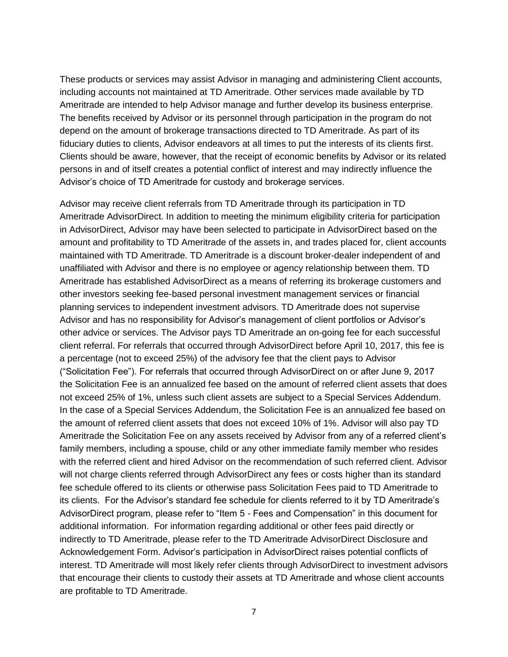These products or services may assist Advisor in managing and administering Client accounts, including accounts not maintained at TD Ameritrade. Other services made available by TD Ameritrade are intended to help Advisor manage and further develop its business enterprise. The benefits received by Advisor or its personnel through participation in the program do not depend on the amount of brokerage transactions directed to TD Ameritrade. As part of its fiduciary duties to clients, Advisor endeavors at all times to put the interests of its clients first. Clients should be aware, however, that the receipt of economic benefits by Advisor or its related persons in and of itself creates a potential conflict of interest and may indirectly influence the Advisor's choice of TD Ameritrade for custody and brokerage services.

Advisor may receive client referrals from TD Ameritrade through its participation in TD Ameritrade AdvisorDirect. In addition to meeting the minimum eligibility criteria for participation in AdvisorDirect, Advisor may have been selected to participate in AdvisorDirect based on the amount and profitability to TD Ameritrade of the assets in, and trades placed for, client accounts maintained with TD Ameritrade. TD Ameritrade is a discount broker-dealer independent of and unaffiliated with Advisor and there is no employee or agency relationship between them. TD Ameritrade has established AdvisorDirect as a means of referring its brokerage customers and other investors seeking fee-based personal investment management services or financial planning services to independent investment advisors. TD Ameritrade does not supervise Advisor and has no responsibility for Advisor's management of client portfolios or Advisor's other advice or services. The Advisor pays TD Ameritrade an on-going fee for each successful client referral. For referrals that occurred through AdvisorDirect before April 10, 2017, this fee is a percentage (not to exceed 25%) of the advisory fee that the client pays to Advisor ("Solicitation Fee"). For referrals that occurred through AdvisorDirect on or after June 9, 2017 the Solicitation Fee is an annualized fee based on the amount of referred client assets that does not exceed 25% of 1%, unless such client assets are subject to a Special Services Addendum. In the case of a Special Services Addendum, the Solicitation Fee is an annualized fee based on the amount of referred client assets that does not exceed 10% of 1%. Advisor will also pay TD Ameritrade the Solicitation Fee on any assets received by Advisor from any of a referred client's family members, including a spouse, child or any other immediate family member who resides with the referred client and hired Advisor on the recommendation of such referred client. Advisor will not charge clients referred through AdvisorDirect any fees or costs higher than its standard fee schedule offered to its clients or otherwise pass Solicitation Fees paid to TD Ameritrade to its clients. For the Advisor's standard fee schedule for clients referred to it by TD Ameritrade's AdvisorDirect program, please refer to "Item 5 - Fees and Compensation" in this document for additional information. For information regarding additional or other fees paid directly or indirectly to TD Ameritrade, please refer to the TD Ameritrade AdvisorDirect Disclosure and Acknowledgement Form. Advisor's participation in AdvisorDirect raises potential conflicts of interest. TD Ameritrade will most likely refer clients through AdvisorDirect to investment advisors that encourage their clients to custody their assets at TD Ameritrade and whose client accounts are profitable to TD Ameritrade.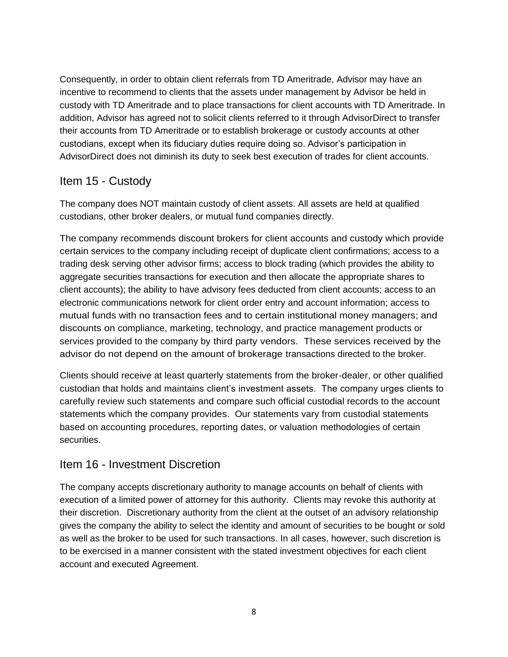Consequently, in order to obtain client referrals from TD Ameritrade, Advisor may have an incentive to recommend to clients that the assets under management by Advisor be held in custody with TD Ameritrade and to place transactions for client accounts with TD Ameritrade. In addition, Advisor has agreed not to solicit clients referred to it through AdvisorDirect to transfer their accounts from TD Ameritrade or to establish brokerage or custody accounts at other custodians, except when its fiduciary duties require doing so. Advisor's participation in AdvisorDirect does not diminish its duty to seek best execution of trades for client accounts.

### Item 15 - Custody

The company does NOT maintain custody of client assets. All assets are held at qualified custodians, other broker dealers, or mutual fund companies directly.

The company recommends discount brokers for client accounts and custody which provide certain services to the company including receipt of duplicate client confirmations; access to a trading desk serving other advisor firms; access to block trading (which provides the ability to aggregate securities transactions for execution and then allocate the appropriate shares to client accounts); the ability to have advisory fees deducted from client accounts; access to an electronic communications network for client order entry and account information; access to mutual funds with no transaction fees and to certain institutional money managers; and discounts on compliance, marketing, technology, and practice management products or services provided to the company by third party vendors. These services received by the advisor do not depend on the amount of brokerage transactions directed to the broker.

Clients should receive at least quarterly statements from the broker-dealer, or other qualified custodian that holds and maintains client's investment assets. The company urges clients to carefully review such statements and compare such official custodial records to the account statements which the company provides. Our statements vary from custodial statements based on accounting procedures, reporting dates, or valuation methodologies of certain securities.

#### Item 16 - Investment Discretion

The company accepts discretionary authority to manage accounts on behalf of clients with execution of a limited power of attorney for this authority. Clients may revoke this authority at their discretion. Discretionary authority from the client at the outset of an advisory relationship gives the company the ability to select the identity and amount of securities to be bought or sold as well as the broker to be used for such transactions. In all cases, however, such discretion is to be exercised in a manner consistent with the stated investment objectives for each client account and executed Agreement.